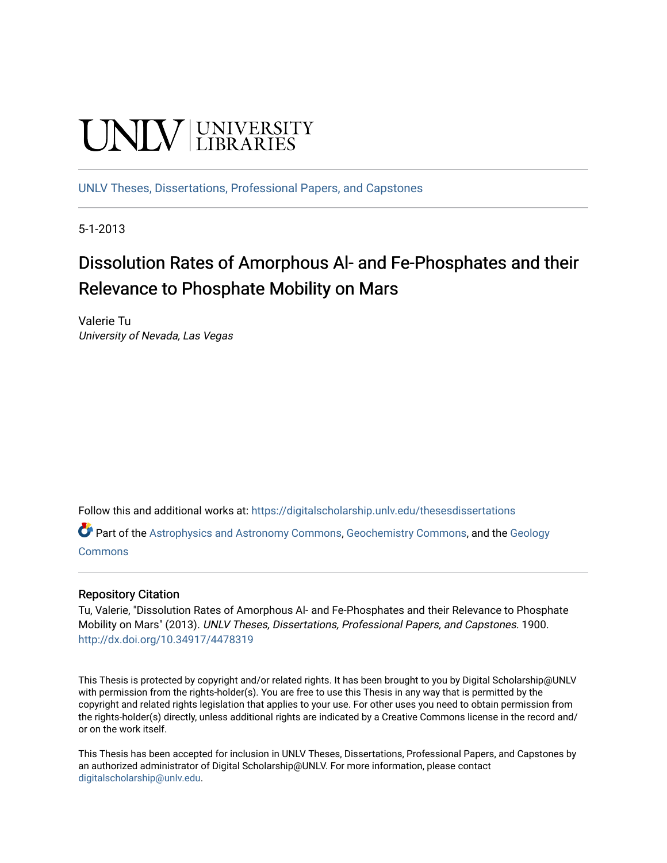# **UNIVERSITY**

[UNLV Theses, Dissertations, Professional Papers, and Capstones](https://digitalscholarship.unlv.edu/thesesdissertations)

5-1-2013

# Dissolution Rates of Amorphous Al- and Fe-Phosphates and their Relevance to Phosphate Mobility on Mars

Valerie Tu University of Nevada, Las Vegas

Follow this and additional works at: [https://digitalscholarship.unlv.edu/thesesdissertations](https://digitalscholarship.unlv.edu/thesesdissertations?utm_source=digitalscholarship.unlv.edu%2Fthesesdissertations%2F1900&utm_medium=PDF&utm_campaign=PDFCoverPages)

Part of the [Astrophysics and Astronomy Commons,](http://network.bepress.com/hgg/discipline/123?utm_source=digitalscholarship.unlv.edu%2Fthesesdissertations%2F1900&utm_medium=PDF&utm_campaign=PDFCoverPages) [Geochemistry Commons](http://network.bepress.com/hgg/discipline/157?utm_source=digitalscholarship.unlv.edu%2Fthesesdissertations%2F1900&utm_medium=PDF&utm_campaign=PDFCoverPages), and the [Geology](http://network.bepress.com/hgg/discipline/156?utm_source=digitalscholarship.unlv.edu%2Fthesesdissertations%2F1900&utm_medium=PDF&utm_campaign=PDFCoverPages)  **[Commons](http://network.bepress.com/hgg/discipline/156?utm_source=digitalscholarship.unlv.edu%2Fthesesdissertations%2F1900&utm_medium=PDF&utm_campaign=PDFCoverPages)** 

## Repository Citation

Tu, Valerie, "Dissolution Rates of Amorphous Al- and Fe-Phosphates and their Relevance to Phosphate Mobility on Mars" (2013). UNLV Theses, Dissertations, Professional Papers, and Capstones. 1900. <http://dx.doi.org/10.34917/4478319>

This Thesis is protected by copyright and/or related rights. It has been brought to you by Digital Scholarship@UNLV with permission from the rights-holder(s). You are free to use this Thesis in any way that is permitted by the copyright and related rights legislation that applies to your use. For other uses you need to obtain permission from the rights-holder(s) directly, unless additional rights are indicated by a Creative Commons license in the record and/ or on the work itself.

This Thesis has been accepted for inclusion in UNLV Theses, Dissertations, Professional Papers, and Capstones by an authorized administrator of Digital Scholarship@UNLV. For more information, please contact [digitalscholarship@unlv.edu](mailto:digitalscholarship@unlv.edu).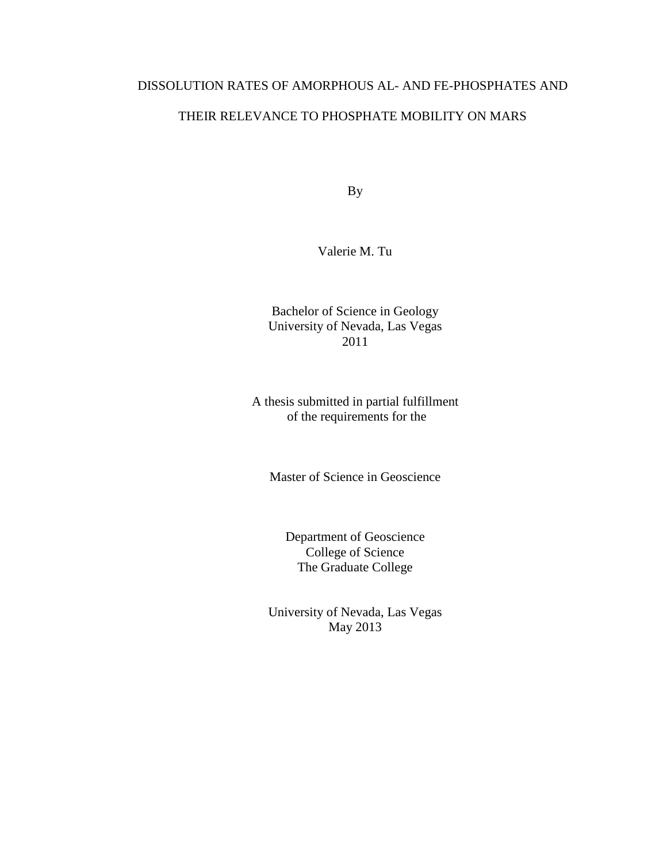# DISSOLUTION RATES OF AMORPHOUS AL- AND FE-PHOSPHATES AND

# THEIR RELEVANCE TO PHOSPHATE MOBILITY ON MARS

By

Valerie M. Tu

Bachelor of Science in Geology University of Nevada, Las Vegas 2011

A thesis submitted in partial fulfillment of the requirements for the

Master of Science in Geoscience

Department of Geoscience College of Science The Graduate College

University of Nevada, Las Vegas May 2013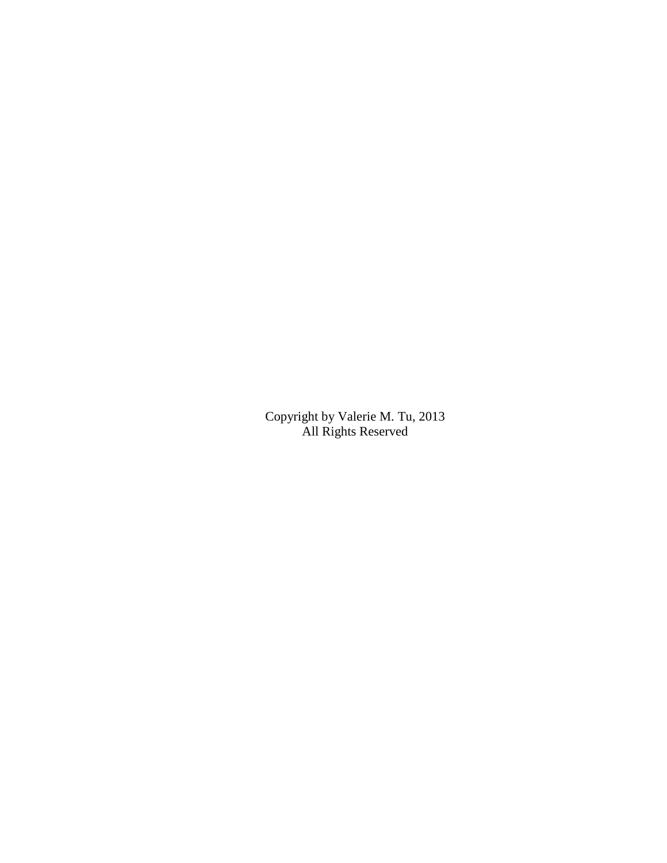Copyright by Valerie M. Tu, 2013 All Rights Reserved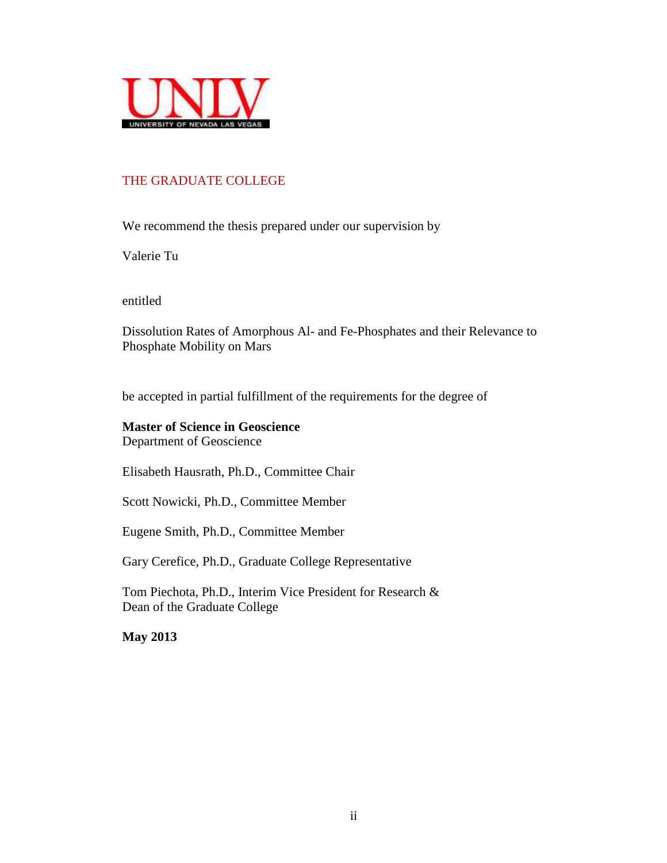

# THE GRADUATE COLLEGE

We recommend the thesis prepared under our supervision by

Valerie Tu

entitled

Dissolution Rates of Amorphous Al- and Fe-Phosphates and their Relevance to Phosphate Mobility on Mars

be accepted in partial fulfillment of the requirements for the degree of

**Master of Science in Geoscience** Department of Geoscience

Elisabeth Hausrath, Ph.D., Committee Chair

Scott Nowicki, Ph.D., Committee Member

Eugene Smith, Ph.D., Committee Member

Gary Cerefice, Ph.D., Graduate College Representative

Tom Piechota, Ph.D., Interim Vice President for Research & Dean of the Graduate College

**May 2013**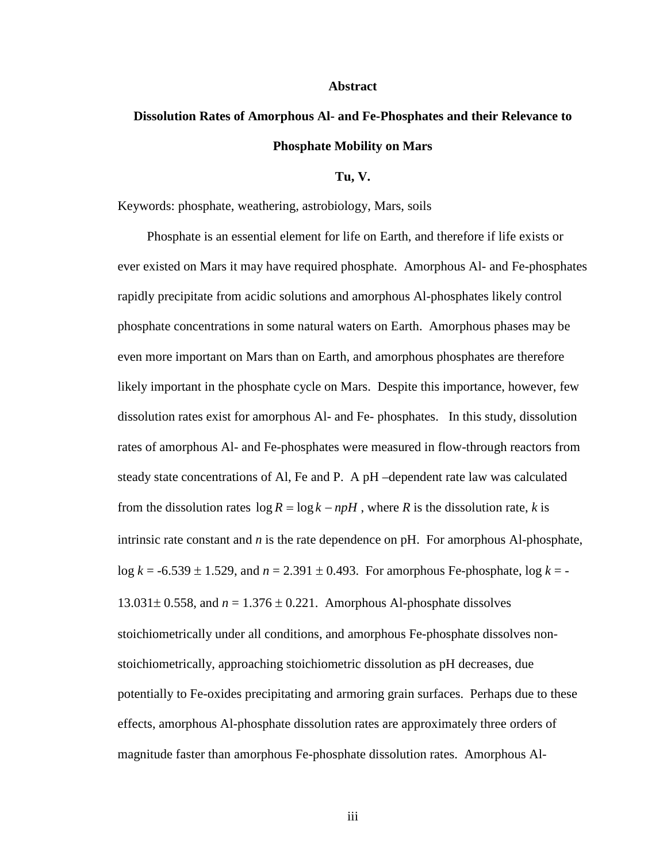#### **Abstract**

# **Dissolution Rates of Amorphous Al- and Fe-Phosphates and their Relevance to Phosphate Mobility on Mars**

**Tu, V.** 

Keywords: phosphate, weathering, astrobiology, Mars, soils

 Phosphate is an essential element for life on Earth, and therefore if life exists or ever existed on Mars it may have required phosphate. Amorphous Al- and Fe-phosphates rapidly precipitate from acidic solutions and amorphous Al-phosphates likely control phosphate concentrations in some natural waters on Earth. Amorphous phases may be even more important on Mars than on Earth, and amorphous phosphates are therefore likely important in the phosphate cycle on Mars. Despite this importance, however, few dissolution rates exist for amorphous Al- and Fe- phosphates. In this study, dissolution rates of amorphous Al- and Fe-phosphates were measured in flow-through reactors from steady state concentrations of Al, Fe and P. A pH –dependent rate law was calculated from the dissolution rates  $\log R = \log k - npH$ , where *R* is the dissolution rate, *k* is intrinsic rate constant and *n* is the rate dependence on pH. For amorphous Al-phosphate, log *k* = -6.539 ± 1.529, and *n* = 2.391 ± 0.493. For amorphous Fe-phosphate, log *k* = - 13.031 $\pm$  0.558, and  $n = 1.376 \pm 0.221$ . Amorphous Al-phosphate dissolves stoichiometrically under all conditions, and amorphous Fe-phosphate dissolves nonstoichiometrically, approaching stoichiometric dissolution as pH decreases, due potentially to Fe-oxides precipitating and armoring grain surfaces. Perhaps due to these effects, amorphous Al-phosphate dissolution rates are approximately three orders of magnitude faster than amorphous Fe-phosphate dissolution rates. Amorphous Al-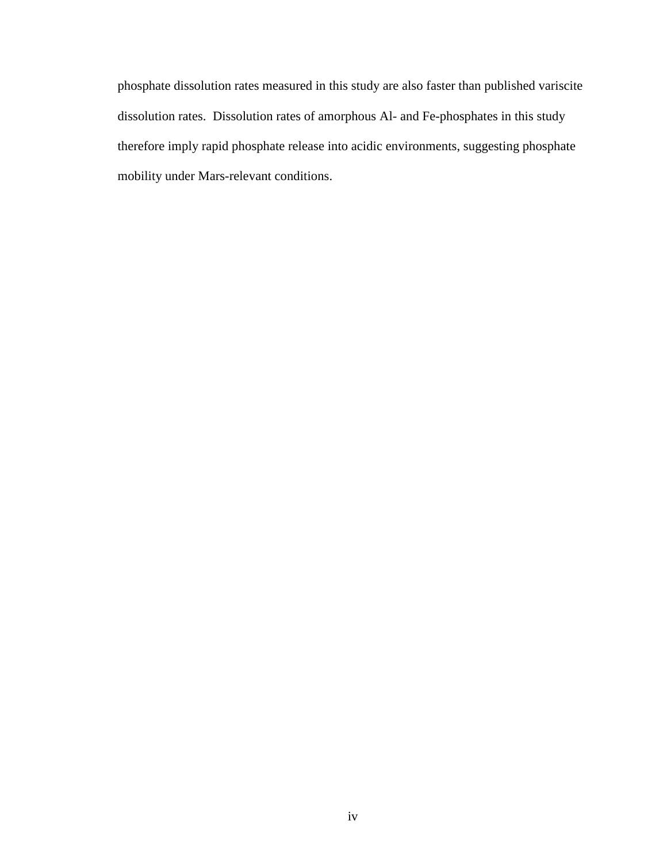phosphate dissolution rates measured in this study are also faster than published variscite dissolution rates. Dissolution rates of amorphous Al- and Fe-phosphates in this study therefore imply rapid phosphate release into acidic environments, suggesting phosphate mobility under Mars-relevant conditions.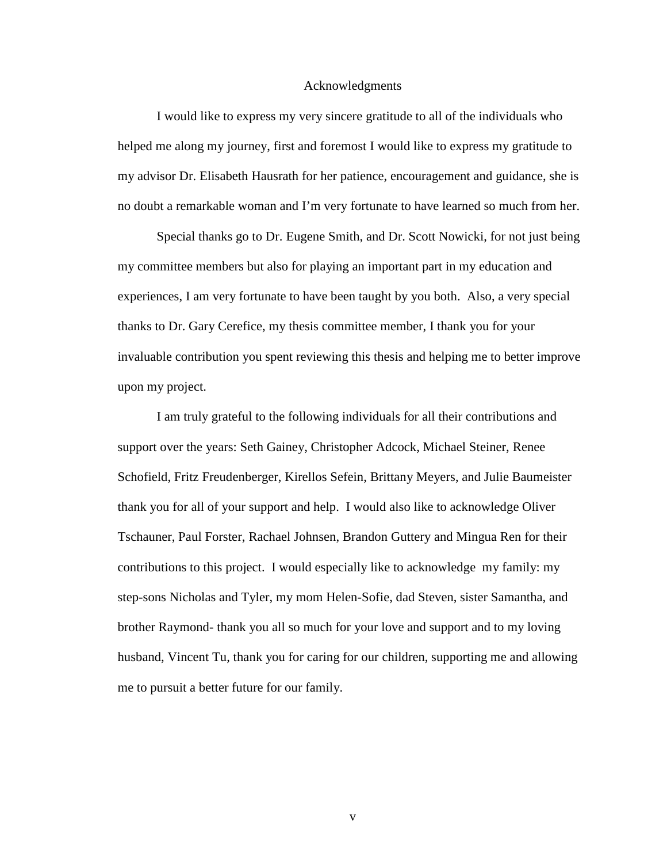#### Acknowledgments

I would like to express my very sincere gratitude to all of the individuals who helped me along my journey, first and foremost I would like to express my gratitude to my advisor Dr. Elisabeth Hausrath for her patience, encouragement and guidance, she is no doubt a remarkable woman and I'm very fortunate to have learned so much from her.

Special thanks go to Dr. Eugene Smith, and Dr. Scott Nowicki, for not just being my committee members but also for playing an important part in my education and experiences, I am very fortunate to have been taught by you both. Also, a very special thanks to Dr. Gary Cerefice, my thesis committee member, I thank you for your invaluable contribution you spent reviewing this thesis and helping me to better improve upon my project.

I am truly grateful to the following individuals for all their contributions and support over the years: Seth Gainey, Christopher Adcock, Michael Steiner, Renee Schofield, Fritz Freudenberger, Kirellos Sefein, Brittany Meyers, and Julie Baumeister thank you for all of your support and help. I would also like to acknowledge Oliver Tschauner, Paul Forster, Rachael Johnsen, Brandon Guttery and Mingua Ren for their contributions to this project. I would especially like to acknowledge my family: my step-sons Nicholas and Tyler, my mom Helen-Sofie, dad Steven, sister Samantha, and brother Raymond- thank you all so much for your love and support and to my loving husband, Vincent Tu, thank you for caring for our children, supporting me and allowing me to pursuit a better future for our family.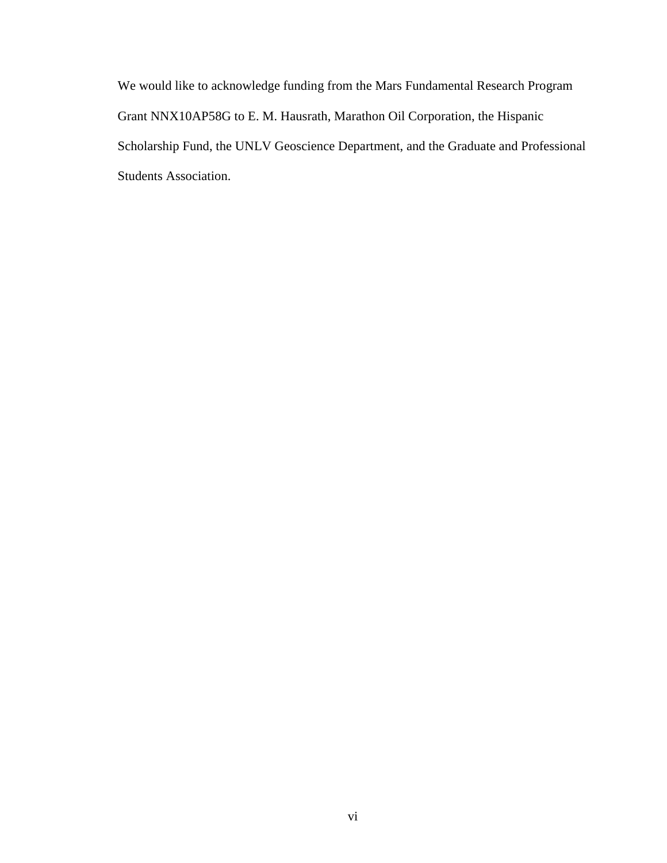We would like to acknowledge funding from the Mars Fundamental Research Program Grant NNX10AP58G to E. M. Hausrath, Marathon Oil Corporation, the Hispanic Scholarship Fund, the UNLV Geoscience Department, and the Graduate and Professional Students Association.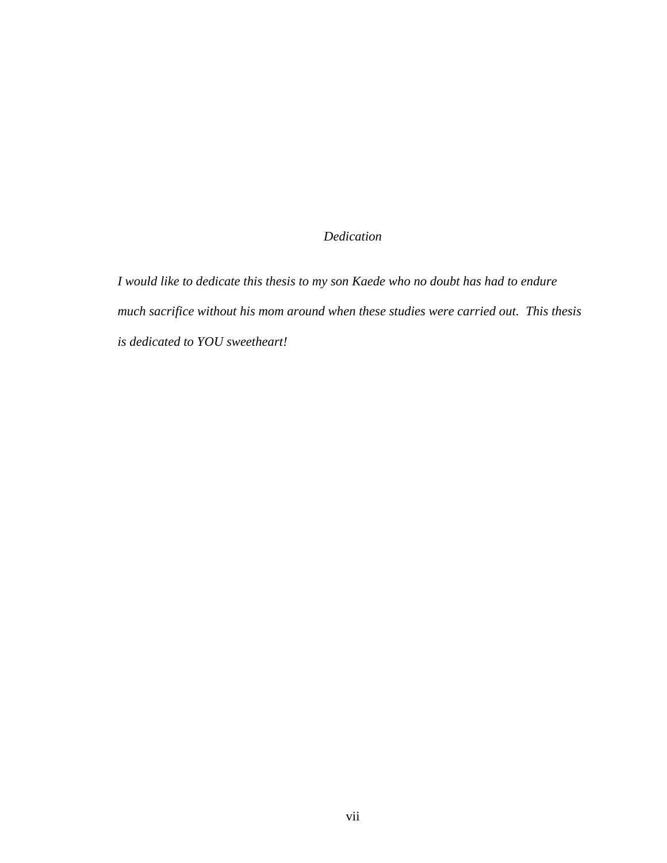# *Dedication*

*I would like to dedicate this thesis to my son Kaede who no doubt has had to endure much sacrifice without his mom around when these studies were carried out. This thesis is dedicated to YOU sweetheart!*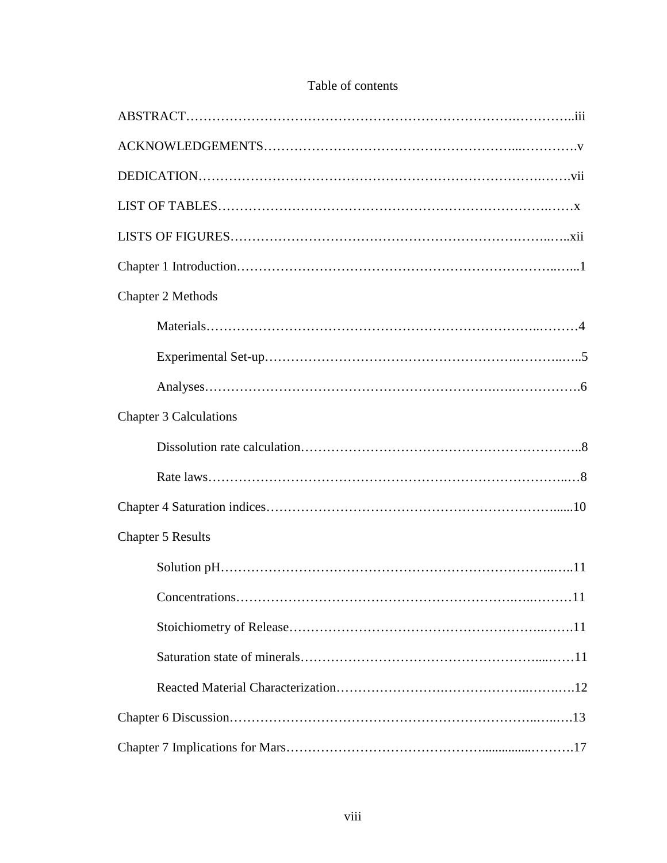# Table of contents

| Chapter 2 Methods             |
|-------------------------------|
|                               |
|                               |
|                               |
| <b>Chapter 3 Calculations</b> |
|                               |
|                               |
|                               |
| <b>Chapter 5 Results</b>      |
|                               |
| 11                            |
|                               |
|                               |
|                               |
|                               |
|                               |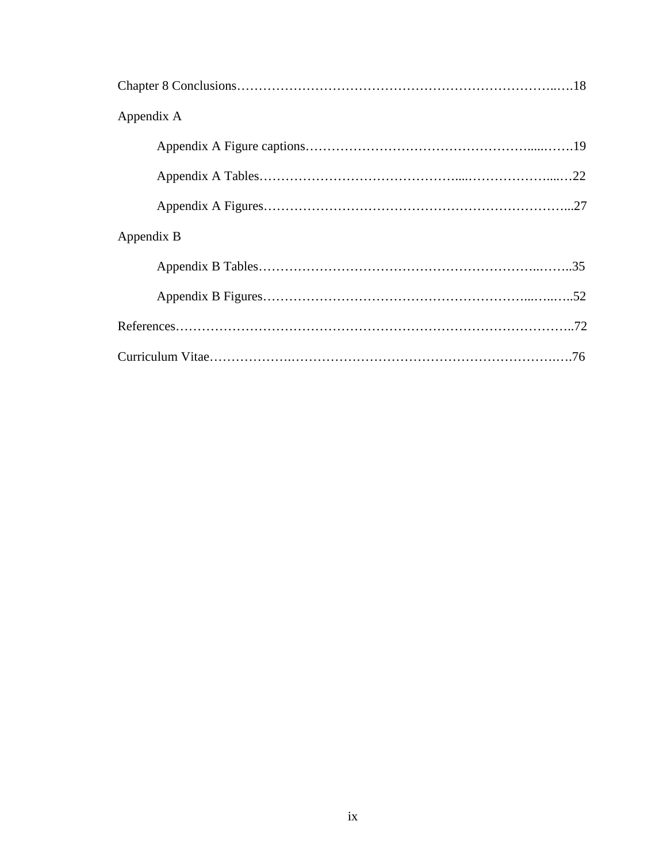| Appendix A |
|------------|
|            |
|            |
|            |
| Appendix B |
|            |
|            |
|            |
|            |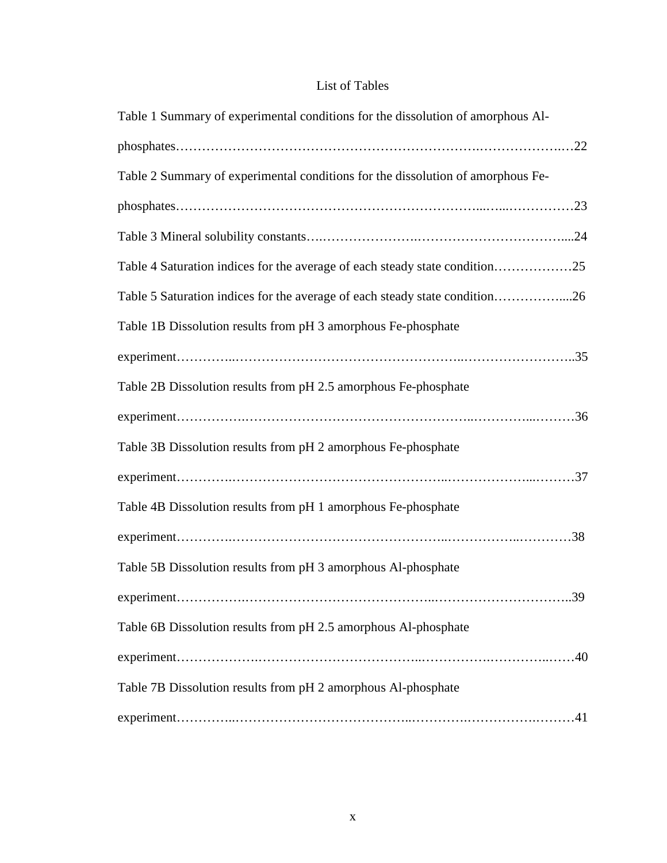# List of Tables

| Table 1 Summary of experimental conditions for the dissolution of amorphous Al- |
|---------------------------------------------------------------------------------|
|                                                                                 |
| Table 2 Summary of experimental conditions for the dissolution of amorphous Fe- |
|                                                                                 |
|                                                                                 |
| Table 4 Saturation indices for the average of each steady state condition25     |
| Table 5 Saturation indices for the average of each steady state condition26     |
| Table 1B Dissolution results from pH 3 amorphous Fe-phosphate                   |
|                                                                                 |
| Table 2B Dissolution results from pH 2.5 amorphous Fe-phosphate                 |
|                                                                                 |
| Table 3B Dissolution results from pH 2 amorphous Fe-phosphate                   |
|                                                                                 |
| Table 4B Dissolution results from pH 1 amorphous Fe-phosphate                   |
|                                                                                 |
| Table 5B Dissolution results from pH 3 amorphous Al-phosphate                   |
| 39                                                                              |
| Table 6B Dissolution results from pH 2.5 amorphous Al-phosphate                 |
|                                                                                 |
| Table 7B Dissolution results from pH 2 amorphous Al-phosphate                   |
|                                                                                 |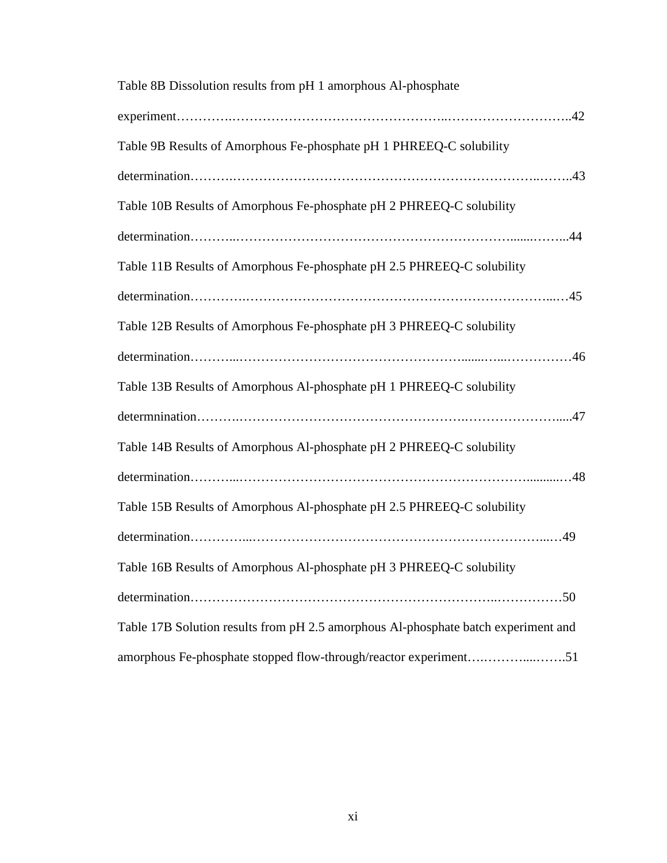| Table 8B Dissolution results from pH 1 amorphous Al-phosphate                      |
|------------------------------------------------------------------------------------|
|                                                                                    |
| Table 9B Results of Amorphous Fe-phosphate pH 1 PHREEQ-C solubility                |
|                                                                                    |
| Table 10B Results of Amorphous Fe-phosphate pH 2 PHREEQ-C solubility               |
|                                                                                    |
| Table 11B Results of Amorphous Fe-phosphate pH 2.5 PHREEQ-C solubility             |
|                                                                                    |
| Table 12B Results of Amorphous Fe-phosphate pH 3 PHREEQ-C solubility               |
|                                                                                    |
| Table 13B Results of Amorphous Al-phosphate pH 1 PHREEQ-C solubility               |
|                                                                                    |
| Table 14B Results of Amorphous Al-phosphate pH 2 PHREEQ-C solubility               |
|                                                                                    |
| Table 15B Results of Amorphous Al-phosphate pH 2.5 PHREEQ-C solubility             |
|                                                                                    |
| Table 16B Results of Amorphous Al-phosphate pH 3 PHREEQ-C solubility               |
|                                                                                    |
| Table 17B Solution results from pH 2.5 amorphous Al-phosphate batch experiment and |
| amorphous Fe-phosphate stopped flow-through/reactor experiment51                   |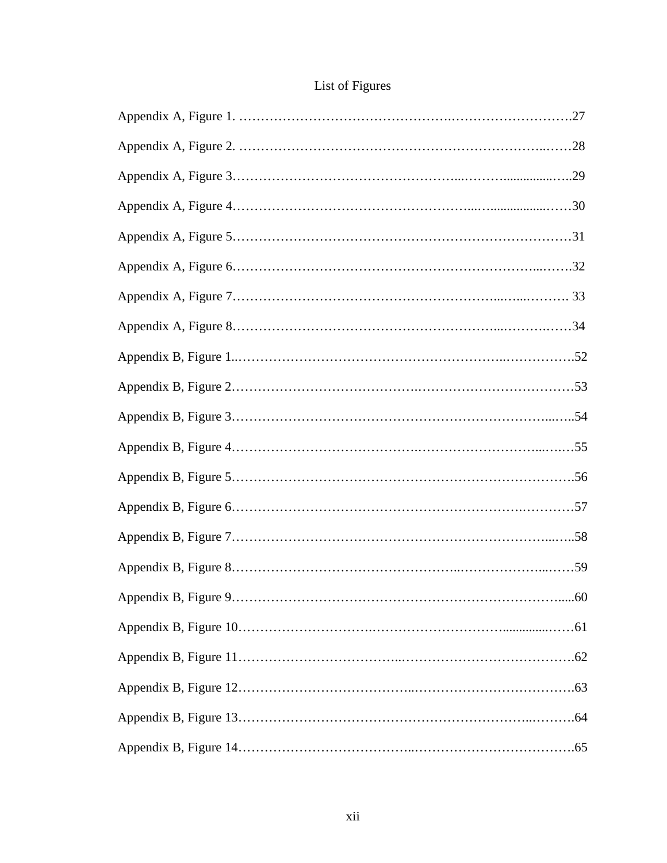# List of Figures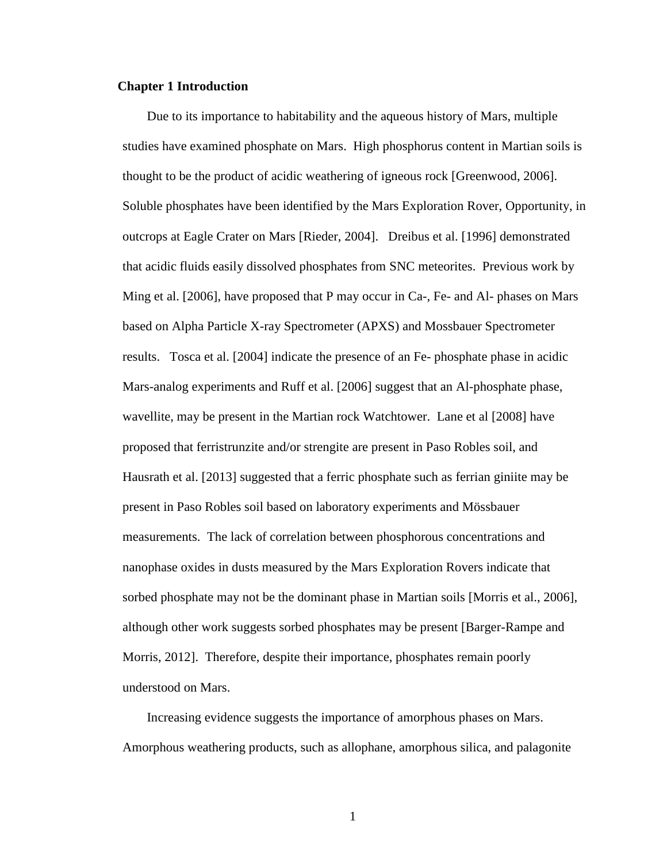#### **Chapter 1 Introduction**

 Due to its importance to habitability and the aqueous history of Mars, multiple studies have examined phosphate on Mars. High phosphorus content in Martian soils is thought to be the product of acidic weathering of igneous rock [Greenwood, 2006]. Soluble phosphates have been identified by the Mars Exploration Rover, Opportunity, in outcrops at Eagle Crater on Mars [Rieder, 2004]. Dreibus et al. [1996] demonstrated that acidic fluids easily dissolved phosphates from SNC meteorites. Previous work by Ming et al. [2006], have proposed that P may occur in Ca-, Fe- and Al- phases on Mars based on Alpha Particle X-ray Spectrometer (APXS) and Mossbauer Spectrometer results. Tosca et al. [2004] indicate the presence of an Fe- phosphate phase in acidic Mars-analog experiments and Ruff et al. [2006] suggest that an Al-phosphate phase, wavellite, may be present in the Martian rock Watchtower. Lane et al [2008] have proposed that ferristrunzite and/or strengite are present in Paso Robles soil, and Hausrath et al. [2013] suggested that a ferric phosphate such as ferrian giniite may be present in Paso Robles soil based on laboratory experiments and Mössbauer measurements. The lack of correlation between phosphorous concentrations and nanophase oxides in dusts measured by the Mars Exploration Rovers indicate that sorbed phosphate may not be the dominant phase in Martian soils [Morris et al., 2006], although other work suggests sorbed phosphates may be present [Barger-Rampe and Morris, 2012]. Therefore, despite their importance, phosphates remain poorly understood on Mars.

 Increasing evidence suggests the importance of amorphous phases on Mars. Amorphous weathering products, such as allophane, amorphous silica, and palagonite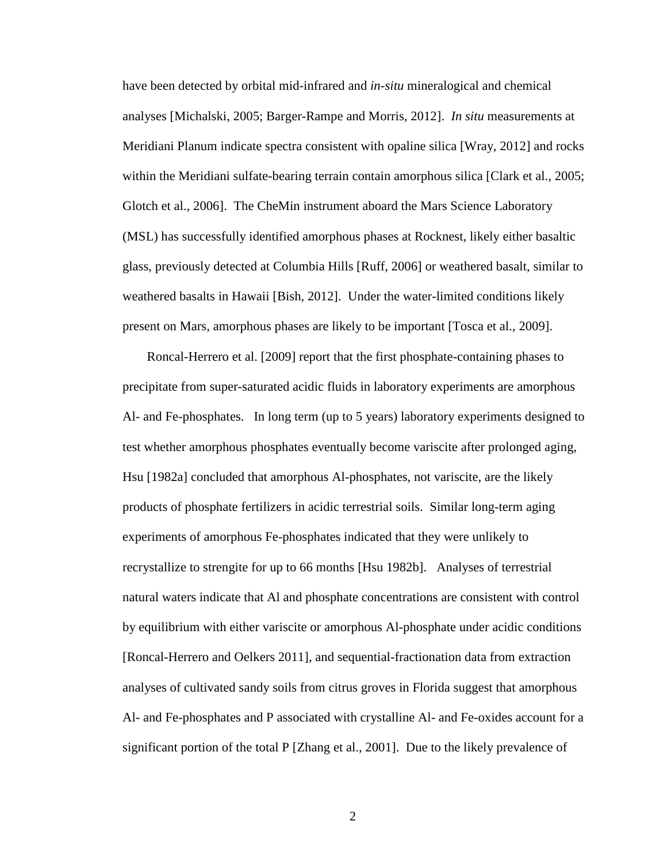have been detected by orbital mid-infrared and *in-situ* mineralogical and chemical analyses [Michalski, 2005; Barger-Rampe and Morris, 2012]. *In situ* measurements at Meridiani Planum indicate spectra consistent with opaline silica [Wray, 2012] and rocks within the Meridiani sulfate-bearing terrain contain amorphous silica [Clark et al., 2005; Glotch et al., 2006]. The CheMin instrument aboard the Mars Science Laboratory (MSL) has successfully identified amorphous phases at Rocknest, likely either basaltic glass, previously detected at Columbia Hills [Ruff, 2006] or weathered basalt, similar to weathered basalts in Hawaii [Bish, 2012]. Under the water-limited conditions likely present on Mars, amorphous phases are likely to be important [Tosca et al., 2009].

 Roncal-Herrero et al. [2009] report that the first phosphate-containing phases to precipitate from super-saturated acidic fluids in laboratory experiments are amorphous Al- and Fe-phosphates. In long term (up to 5 years) laboratory experiments designed to test whether amorphous phosphates eventually become variscite after prolonged aging, Hsu [1982a] concluded that amorphous Al-phosphates, not variscite, are the likely products of phosphate fertilizers in acidic terrestrial soils. Similar long-term aging experiments of amorphous Fe-phosphates indicated that they were unlikely to recrystallize to strengite for up to 66 months [Hsu 1982b]. Analyses of terrestrial natural waters indicate that Al and phosphate concentrations are consistent with control by equilibrium with either variscite or amorphous Al-phosphate under acidic conditions [Roncal-Herrero and Oelkers 2011], and sequential-fractionation data from extraction analyses of cultivated sandy soils from citrus groves in Florida suggest that amorphous Al- and Fe-phosphates and P associated with crystalline Al- and Fe-oxides account for a significant portion of the total P [Zhang et al., 2001]. Due to the likely prevalence of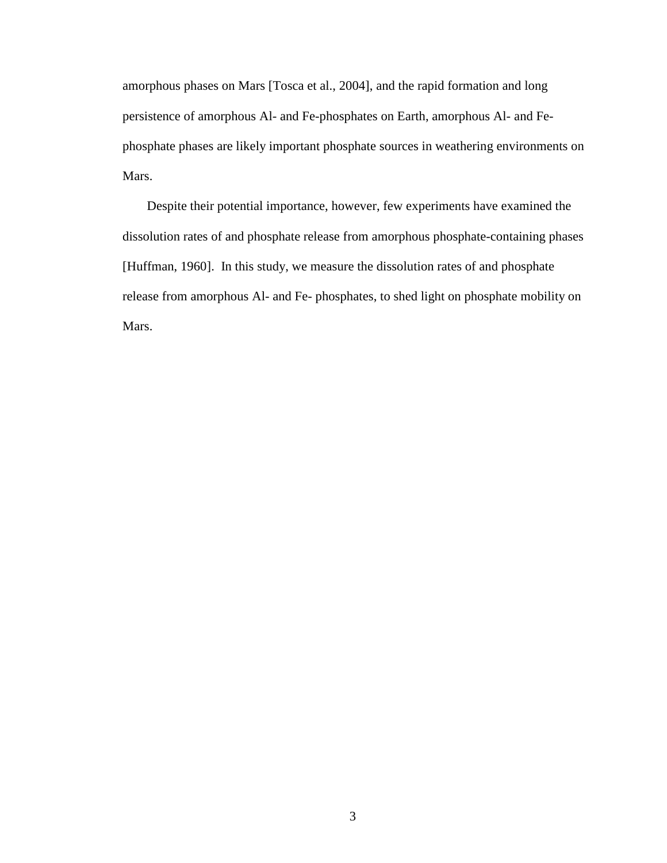amorphous phases on Mars [Tosca et al., 2004], and the rapid formation and long persistence of amorphous Al- and Fe-phosphates on Earth, amorphous Al- and Fephosphate phases are likely important phosphate sources in weathering environments on Mars.

 Despite their potential importance, however, few experiments have examined the dissolution rates of and phosphate release from amorphous phosphate-containing phases [Huffman, 1960]. In this study, we measure the dissolution rates of and phosphate release from amorphous Al- and Fe- phosphates, to shed light on phosphate mobility on Mars.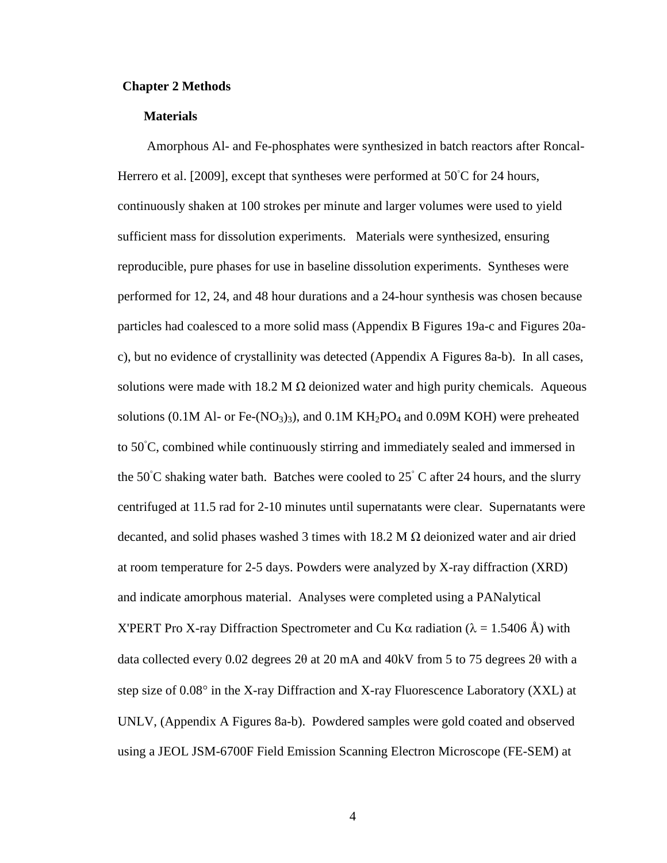#### **Chapter 2 Methods**

#### **Materials**

Amorphous Al- and Fe-phosphates were synthesized in batch reactors after Roncal-Herrero et al. [2009], except that syntheses were performed at  $50^{\circ}$ C for 24 hours, continuously shaken at 100 strokes per minute and larger volumes were used to yield sufficient mass for dissolution experiments. Materials were synthesized, ensuring reproducible, pure phases for use in baseline dissolution experiments. Syntheses were performed for 12, 24, and 48 hour durations and a 24-hour synthesis was chosen because particles had coalesced to a more solid mass (Appendix B Figures 19a-c and Figures 20ac), but no evidence of crystallinity was detected (Appendix A Figures 8a-b). In all cases, solutions were made with 18.2 M  $\Omega$  deionized water and high purity chemicals. Aqueous solutions (0.1M Al- or Fe- $(NO<sub>3</sub>)<sub>3</sub>$ ), and 0.1M KH<sub>2</sub>PO<sub>4</sub> and 0.09M KOH) were preheated to 50◦C, combined while continuously stirring and immediately sealed and immersed in the 50 $°C$  shaking water bath. Batches were cooled to 25 $°C$  after 24 hours, and the slurry centrifuged at 11.5 rad for 2-10 minutes until supernatants were clear. Supernatants were decanted, and solid phases washed 3 times with  $18.2 M \Omega$  deionized water and air dried at room temperature for 2-5 days. Powders were analyzed by X-ray diffraction (XRD) and indicate amorphous material. Analyses were completed using a PANalytical X'PERT Pro X-ray Diffraction Spectrometer and Cu Kα radiation ( $\lambda = 1.5406$  Å) with data collected every 0.02 degrees 2θ at 20 mA and 40kV from 5 to 75 degrees 2θ with a step size of 0.08° in the X-ray Diffraction and X-ray Fluorescence Laboratory (XXL) at UNLV, (Appendix A Figures 8a-b). Powdered samples were gold coated and observed using a JEOL JSM-6700F Field Emission Scanning Electron Microscope (FE-SEM) at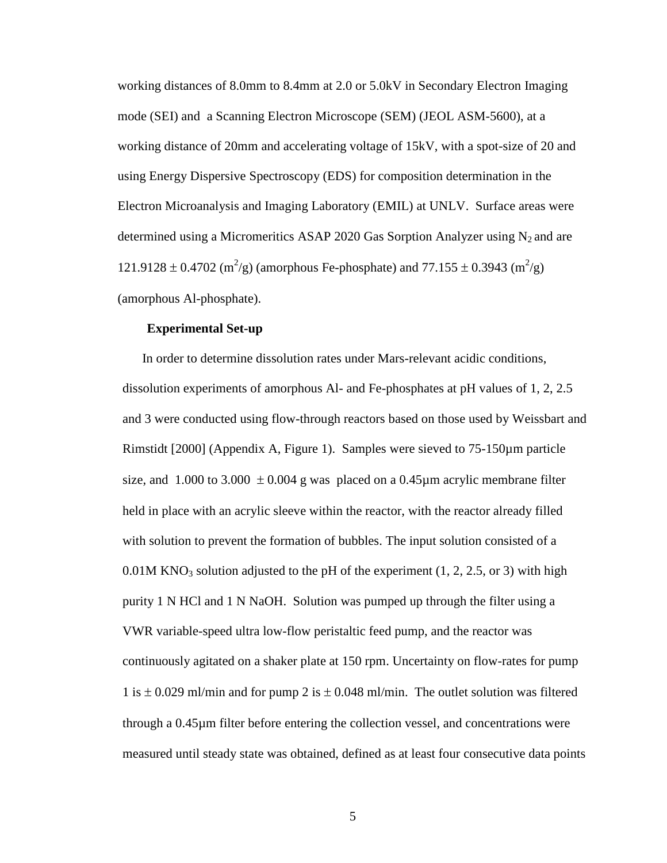working distances of 8.0mm to 8.4mm at 2.0 or 5.0kV in Secondary Electron Imaging mode (SEI) and a Scanning Electron Microscope (SEM) (JEOL ASM-5600), at a working distance of 20mm and accelerating voltage of 15kV, with a spot-size of 20 and using Energy Dispersive Spectroscopy (EDS) for composition determination in the Electron Microanalysis and Imaging Laboratory (EMIL) at UNLV. Surface areas were determined using a Micromeritics ASAP 2020 Gas Sorption Analyzer using  $N_2$  and are 121.9128 ± 0.4702 (m<sup>2</sup>/g) (amorphous Fe-phosphate) and 77.155 ± 0.3943 (m<sup>2</sup>/g) (amorphous Al-phosphate).

#### **Experimental Set-up**

In order to determine dissolution rates under Mars-relevant acidic conditions, dissolution experiments of amorphous Al- and Fe-phosphates at pH values of 1, 2, 2.5 and 3 were conducted using flow-through reactors based on those used by Weissbart and Rimstidt [2000] (Appendix A, Figure 1). Samples were sieved to 75-150µm particle size, and 1.000 to 3.000  $\pm$  0.004 g was placed on a 0.45µm acrylic membrane filter held in place with an acrylic sleeve within the reactor, with the reactor already filled with solution to prevent the formation of bubbles. The input solution consisted of a 0.01M KNO<sub>3</sub> solution adjusted to the pH of the experiment  $(1, 2, 2.5, 0.07)$  with high purity 1 N HCl and 1 N NaOH. Solution was pumped up through the filter using a VWR variable-speed ultra low-flow peristaltic feed pump, and the reactor was continuously agitated on a shaker plate at 150 rpm. Uncertainty on flow-rates for pump 1 is  $\pm$  0.029 ml/min and for pump 2 is  $\pm$  0.048 ml/min. The outlet solution was filtered through a 0.45µm filter before entering the collection vessel, and concentrations were measured until steady state was obtained, defined as at least four consecutive data points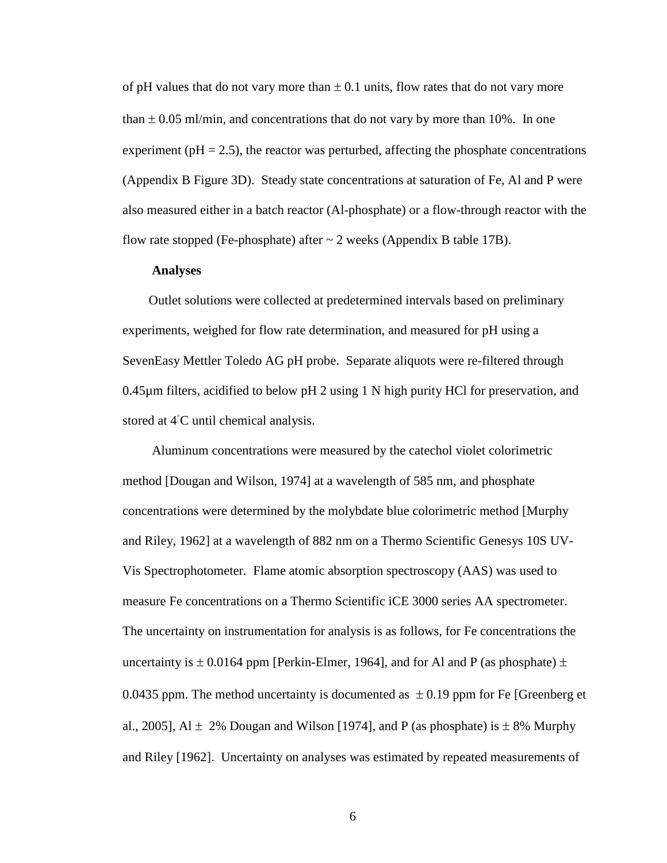of pH values that do not vary more than  $\pm$  0.1 units, flow rates that do not vary more than  $\pm$  0.05 ml/min, and concentrations that do not vary by more than 10%. In one experiment ( $pH = 2.5$ ), the reactor was perturbed, affecting the phosphate concentrations (Appendix B Figure 3D). Steady state concentrations at saturation of Fe, Al and P were also measured either in a batch reactor (Al-phosphate) or a flow-through reactor with the flow rate stopped (Fe-phosphate) after  $\sim$  2 weeks (Appendix B table 17B).

#### **Analyses**

 Outlet solutions were collected at predetermined intervals based on preliminary experiments, weighed for flow rate determination, and measured for pH using a SevenEasy Mettler Toledo AG pH probe. Separate aliquots were re-filtered through 0.45µm filters, acidified to below pH 2 using 1 N high purity HCl for preservation, and stored at 4<sup>°</sup>C until chemical analysis.

 Aluminum concentrations were measured by the catechol violet colorimetric method [Dougan and Wilson, 1974] at a wavelength of 585 nm, and phosphate concentrations were determined by the molybdate blue colorimetric method [Murphy and Riley, 1962] at a wavelength of 882 nm on a Thermo Scientific Genesys 10S UV-Vis Spectrophotometer. Flame atomic absorption spectroscopy (AAS) was used to measure Fe concentrations on a Thermo Scientific iCE 3000 series AA spectrometer. The uncertainty on instrumentation for analysis is as follows, for Fe concentrations the uncertainty is  $\pm$  0.0164 ppm [Perkin-Elmer, 1964], and for Al and P (as phosphate)  $\pm$ 0.0435 ppm. The method uncertainty is documented as  $\pm$  0.19 ppm for Fe [Greenberg et al., 2005], Al  $\pm$  2% Dougan and Wilson [1974], and P (as phosphate) is  $\pm$  8% Murphy and Riley [1962]. Uncertainty on analyses was estimated by repeated measurements of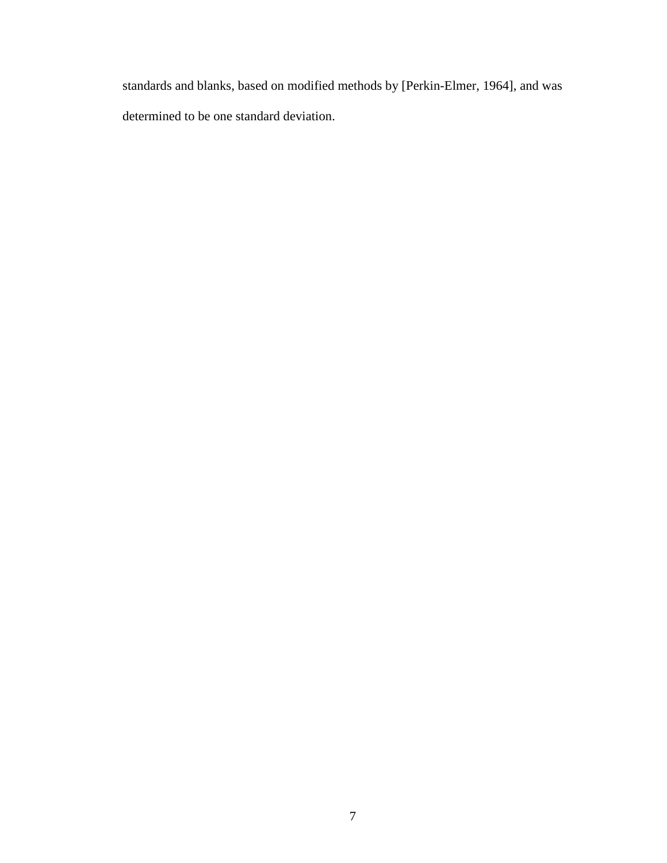standards and blanks, based on modified methods by [Perkin-Elmer, 1964], and was determined to be one standard deviation.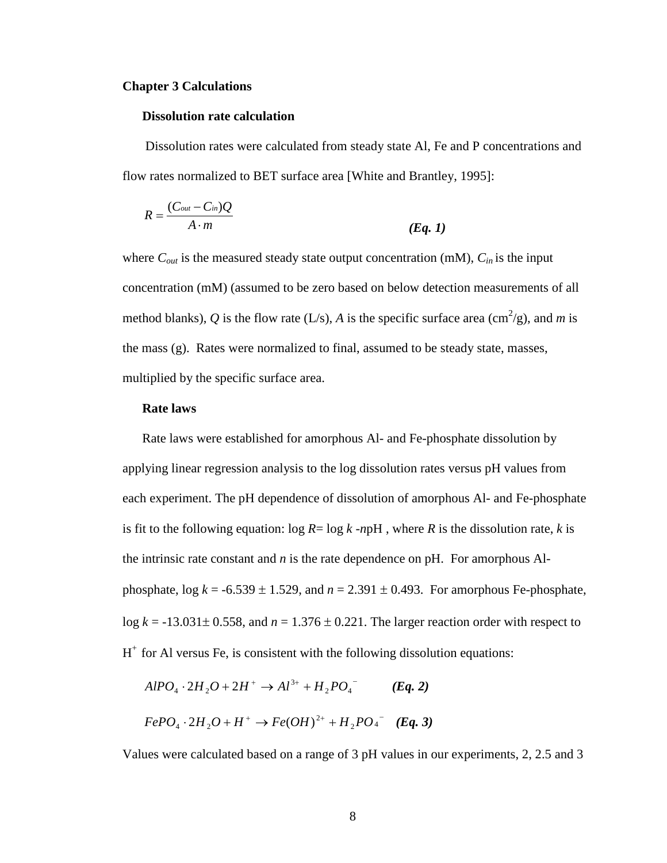#### **Chapter 3 Calculations**

#### **Dissolution rate calculation**

 Dissolution rates were calculated from steady state Al, Fe and P concentrations and flow rates normalized to BET surface area [White and Brantley, 1995]:

$$
R = \frac{(C_{out} - C_{in})Q}{A \cdot m}
$$
 (Eq. 1)

where  $C_{out}$  is the measured steady state output concentration (mM),  $C_{in}$  is the input concentration (mM) (assumed to be zero based on below detection measurements of all method blanks), Q is the flow rate (L/s), A is the specific surface area (cm<sup>2</sup>/g), and m is the mass (g). Rates were normalized to final, assumed to be steady state, masses, multiplied by the specific surface area.

#### **Rate laws**

Rate laws were established for amorphous Al- and Fe-phosphate dissolution by applying linear regression analysis to the log dissolution rates versus pH values from each experiment. The pH dependence of dissolution of amorphous Al- and Fe-phosphate is fit to the following equation:  $\log R = \log k$  -*n*pH, where *R* is the dissolution rate, *k* is the intrinsic rate constant and *n* is the rate dependence on pH. For amorphous Alphosphate,  $\log k = -6.539 \pm 1.529$ , and  $n = 2.391 \pm 0.493$ . For amorphous Fe-phosphate, log  $k = -13.031 \pm 0.558$ , and  $n = 1.376 \pm 0.221$ . The larger reaction order with respect to  $H<sup>+</sup>$  for Al versus Fe, is consistent with the following dissolution equations:

$$
AIPO_4 \cdot 2H_2O + 2H^+ \to Al^{3+} + H_2PO_4^- \qquad (Eq. 2)
$$
  
 
$$
FePO_4 \cdot 2H_2O + H^+ \to Fe(OH)^{2+} + H_2PO_4^- \quad (Eq. 3)
$$

Values were calculated based on a range of 3 pH values in our experiments, 2, 2.5 and 3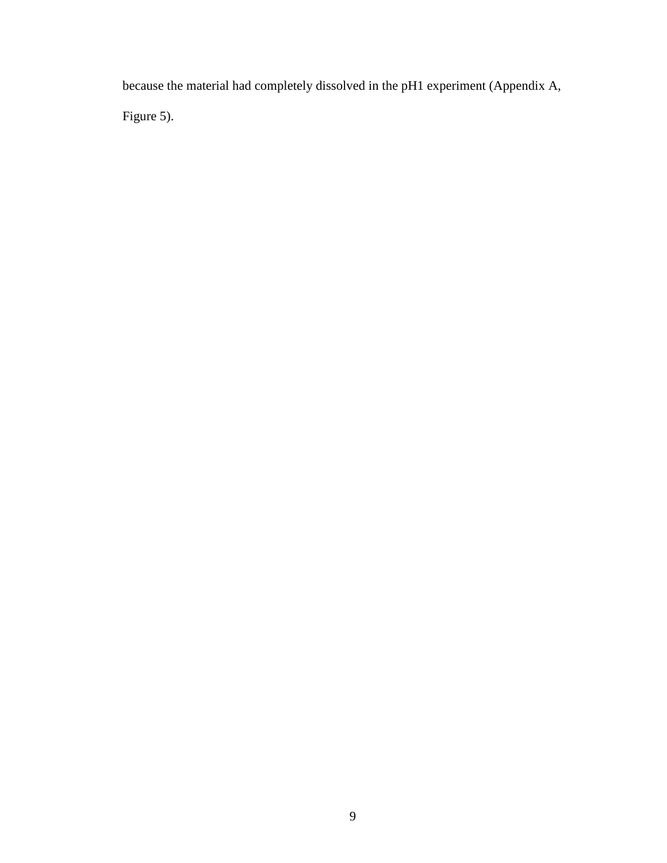because the material had completely dissolved in the pH1 experiment (Appendix A, Figure 5).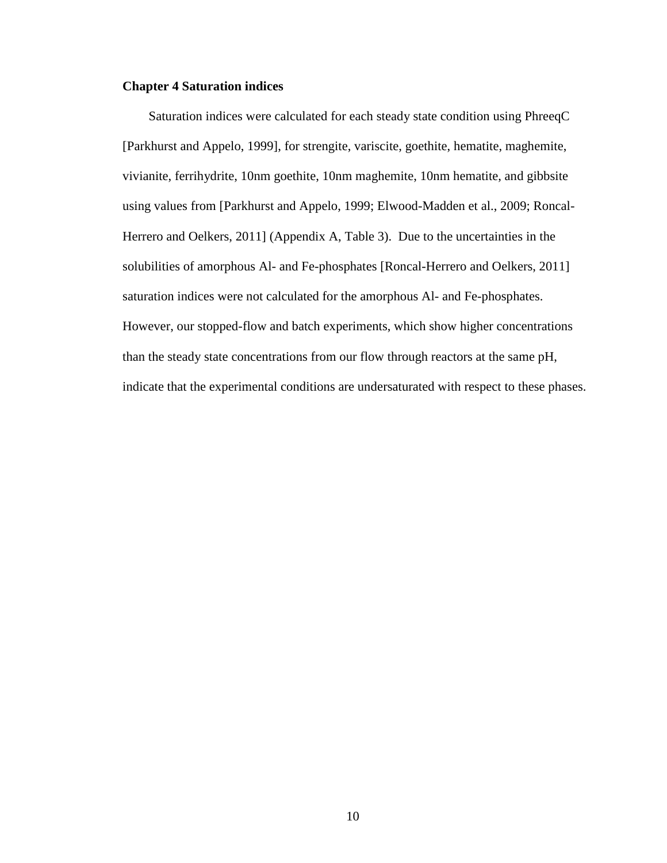#### **Chapter 4 Saturation indices**

 Saturation indices were calculated for each steady state condition using PhreeqC [Parkhurst and Appelo, 1999], for strengite, variscite, goethite, hematite, maghemite, vivianite, ferrihydrite, 10nm goethite, 10nm maghemite, 10nm hematite, and gibbsite using values from [Parkhurst and Appelo, 1999; Elwood-Madden et al., 2009; Roncal-Herrero and Oelkers, 2011] (Appendix A, Table 3). Due to the uncertainties in the solubilities of amorphous Al- and Fe-phosphates [Roncal-Herrero and Oelkers, 2011] saturation indices were not calculated for the amorphous Al- and Fe-phosphates. However, our stopped-flow and batch experiments, which show higher concentrations than the steady state concentrations from our flow through reactors at the same pH, indicate that the experimental conditions are undersaturated with respect to these phases.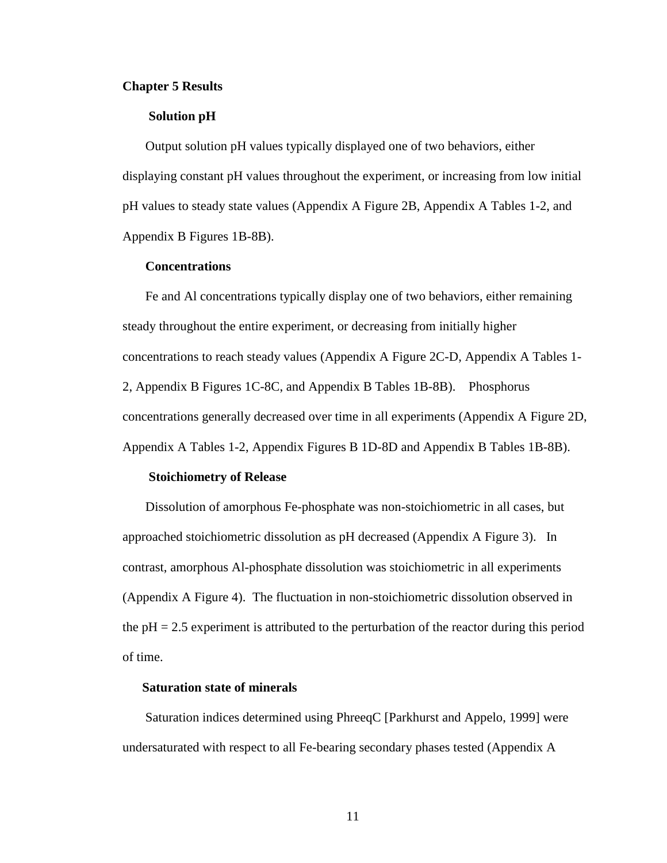#### **Chapter 5 Results**

#### **Solution pH**

 Output solution pH values typically displayed one of two behaviors, either displaying constant pH values throughout the experiment, or increasing from low initial pH values to steady state values (Appendix A Figure 2B, Appendix A Tables 1-2, and Appendix B Figures 1B-8B).

#### **Concentrations**

Fe and Al concentrations typically display one of two behaviors, either remaining steady throughout the entire experiment, or decreasing from initially higher concentrations to reach steady values (Appendix A Figure 2C-D, Appendix A Tables 1- 2, Appendix B Figures 1C-8C, and Appendix B Tables 1B-8B). Phosphorus concentrations generally decreased over time in all experiments (Appendix A Figure 2D, Appendix A Tables 1-2, Appendix Figures B 1D-8D and Appendix B Tables 1B-8B).

#### **Stoichiometry of Release**

 Dissolution of amorphous Fe-phosphate was non-stoichiometric in all cases, but approached stoichiometric dissolution as pH decreased (Appendix A Figure 3). In contrast, amorphous Al-phosphate dissolution was stoichiometric in all experiments (Appendix A Figure 4). The fluctuation in non-stoichiometric dissolution observed in the pH = 2.5 experiment is attributed to the perturbation of the reactor during this period of time.

#### **Saturation state of minerals**

 Saturation indices determined using PhreeqC [Parkhurst and Appelo, 1999] were undersaturated with respect to all Fe-bearing secondary phases tested (Appendix A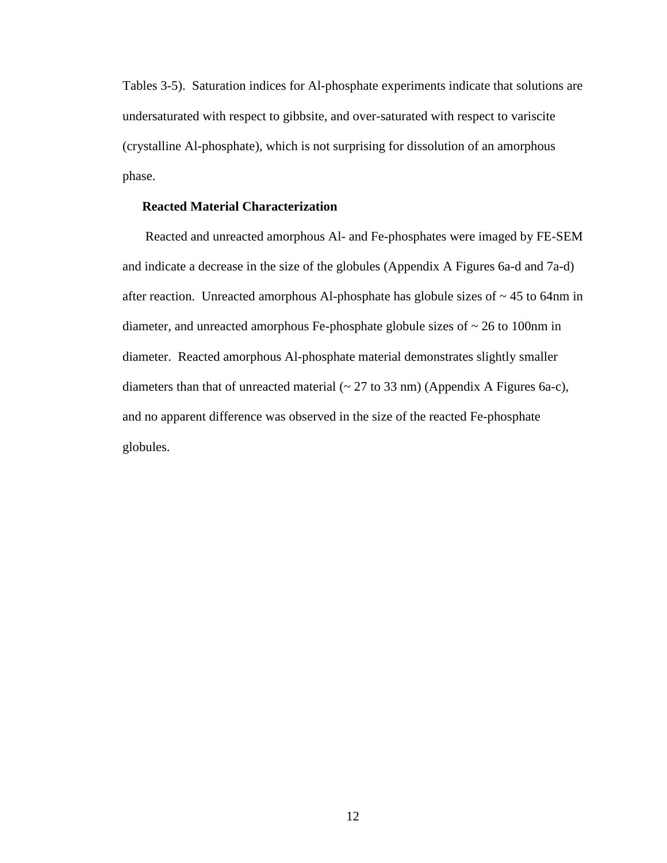Tables 3-5). Saturation indices for Al-phosphate experiments indicate that solutions are undersaturated with respect to gibbsite, and over-saturated with respect to variscite (crystalline Al-phosphate), which is not surprising for dissolution of an amorphous phase.

## **Reacted Material Characterization**

 Reacted and unreacted amorphous Al- and Fe-phosphates were imaged by FE-SEM and indicate a decrease in the size of the globules (Appendix A Figures 6a-d and 7a-d) after reaction. Unreacted amorphous Al-phosphate has globule sizes of  $\sim$  45 to 64nm in diameter, and unreacted amorphous Fe-phosphate globule sizes of ~ 26 to 100nm in diameter. Reacted amorphous Al-phosphate material demonstrates slightly smaller diameters than that of unreacted material  $(27 \text{ to } 33 \text{ nm})$  (Appendix A Figures 6a-c), and no apparent difference was observed in the size of the reacted Fe-phosphate globules.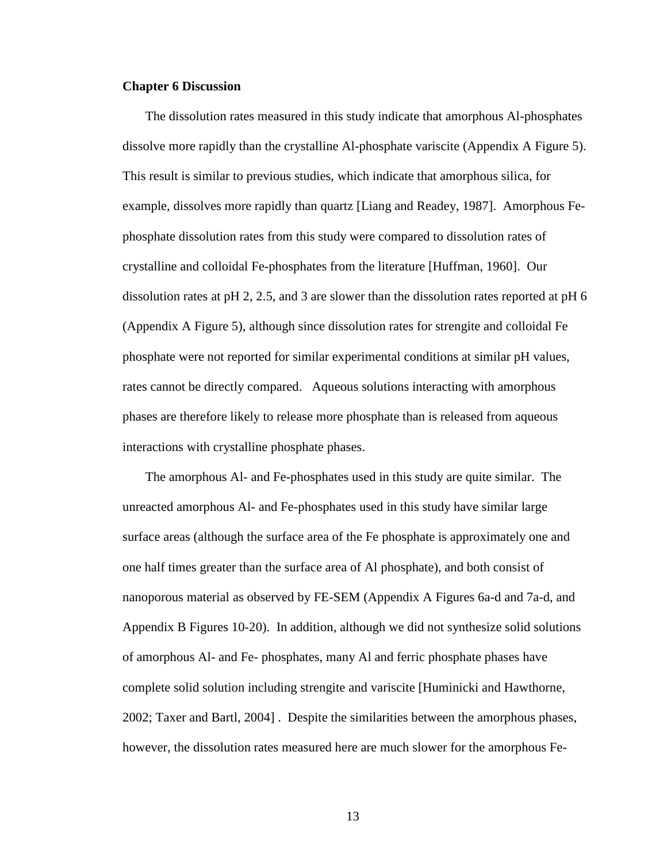#### **Chapter 6 Discussion**

 The dissolution rates measured in this study indicate that amorphous Al-phosphates dissolve more rapidly than the crystalline Al-phosphate variscite (Appendix A Figure 5). This result is similar to previous studies, which indicate that amorphous silica, for example, dissolves more rapidly than quartz [Liang and Readey, 1987]. Amorphous Fephosphate dissolution rates from this study were compared to dissolution rates of crystalline and colloidal Fe-phosphates from the literature [Huffman, 1960]. Our dissolution rates at pH 2, 2.5, and 3 are slower than the dissolution rates reported at pH 6 (Appendix A Figure 5), although since dissolution rates for strengite and colloidal Fe phosphate were not reported for similar experimental conditions at similar pH values, rates cannot be directly compared. Aqueous solutions interacting with amorphous phases are therefore likely to release more phosphate than is released from aqueous interactions with crystalline phosphate phases.

 The amorphous Al- and Fe-phosphates used in this study are quite similar. The unreacted amorphous Al- and Fe-phosphates used in this study have similar large surface areas (although the surface area of the Fe phosphate is approximately one and one half times greater than the surface area of Al phosphate), and both consist of nanoporous material as observed by FE-SEM (Appendix A Figures 6a-d and 7a-d, and Appendix B Figures 10-20). In addition, although we did not synthesize solid solutions of amorphous Al- and Fe- phosphates, many Al and ferric phosphate phases have complete solid solution including strengite and variscite [Huminicki and Hawthorne, 2002; Taxer and Bartl, 2004] . Despite the similarities between the amorphous phases, however, the dissolution rates measured here are much slower for the amorphous Fe-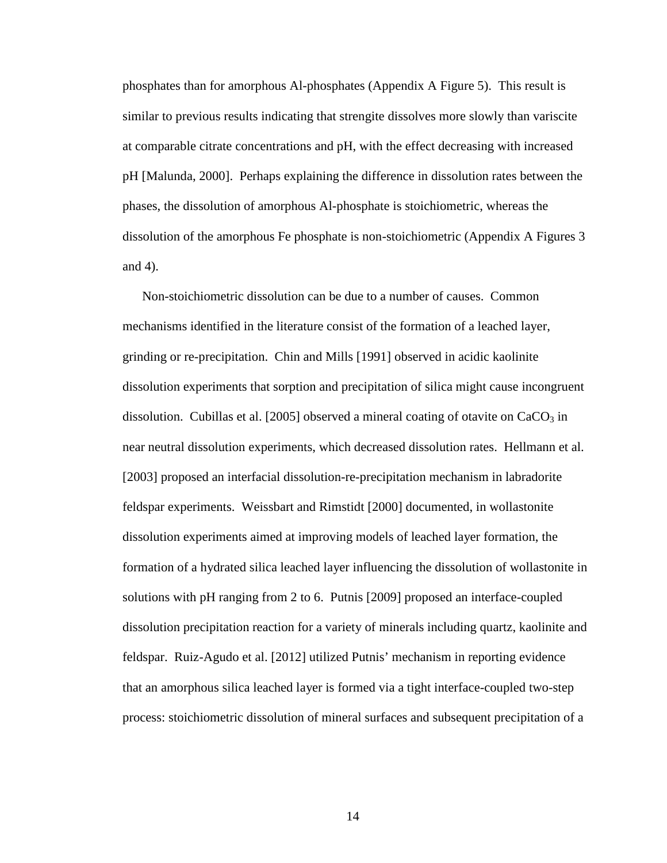phosphates than for amorphous Al-phosphates (Appendix A Figure 5). This result is similar to previous results indicating that strengite dissolves more slowly than variscite at comparable citrate concentrations and pH, with the effect decreasing with increased pH [Malunda, 2000]. Perhaps explaining the difference in dissolution rates between the phases, the dissolution of amorphous Al-phosphate is stoichiometric, whereas the dissolution of the amorphous Fe phosphate is non-stoichiometric (Appendix A Figures 3 and 4).

 Non-stoichiometric dissolution can be due to a number of causes. Common mechanisms identified in the literature consist of the formation of a leached layer, grinding or re-precipitation. Chin and Mills [1991] observed in acidic kaolinite dissolution experiments that sorption and precipitation of silica might cause incongruent dissolution. Cubillas et al. [2005] observed a mineral coating of otavite on  $CaCO<sub>3</sub>$  in near neutral dissolution experiments, which decreased dissolution rates. Hellmann et al. [2003] proposed an interfacial dissolution-re-precipitation mechanism in labradorite feldspar experiments. Weissbart and Rimstidt [2000] documented, in wollastonite dissolution experiments aimed at improving models of leached layer formation, the formation of a hydrated silica leached layer influencing the dissolution of wollastonite in solutions with pH ranging from 2 to 6. Putnis [2009] proposed an interface-coupled dissolution precipitation reaction for a variety of minerals including quartz, kaolinite and feldspar. Ruiz-Agudo et al. [2012] utilized Putnis' mechanism in reporting evidence that an amorphous silica leached layer is formed via a tight interface-coupled two-step process: stoichiometric dissolution of mineral surfaces and subsequent precipitation of a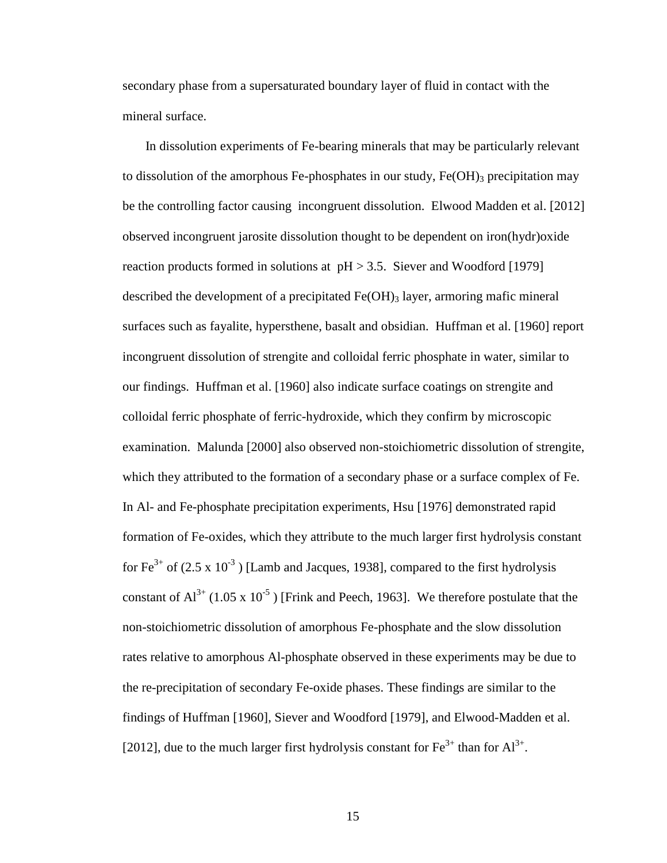secondary phase from a supersaturated boundary layer of fluid in contact with the mineral surface.

 In dissolution experiments of Fe-bearing minerals that may be particularly relevant to dissolution of the amorphous Fe-phosphates in our study,  $Fe(OH)$ <sub>3</sub> precipitation may be the controlling factor causing incongruent dissolution. Elwood Madden et al. [2012] observed incongruent jarosite dissolution thought to be dependent on iron(hydr)oxide reaction products formed in solutions at  $pH > 3.5$ . Siever and Woodford [1979] described the development of a precipitated  $Fe(OH)$ <sub>3</sub> layer, armoring mafic mineral surfaces such as fayalite, hypersthene, basalt and obsidian. Huffman et al. [1960] report incongruent dissolution of strengite and colloidal ferric phosphate in water, similar to our findings. Huffman et al. [1960] also indicate surface coatings on strengite and colloidal ferric phosphate of ferric-hydroxide, which they confirm by microscopic examination. Malunda [2000] also observed non-stoichiometric dissolution of strengite, which they attributed to the formation of a secondary phase or a surface complex of Fe. In Al- and Fe-phosphate precipitation experiments, Hsu [1976] demonstrated rapid formation of Fe-oxides, which they attribute to the much larger first hydrolysis constant for  $Fe^{3+}$  of (2.5 x 10<sup>-3</sup>) [Lamb and Jacques, 1938], compared to the first hydrolysis constant of  $Al^{3+}$  (1.05 x 10<sup>-5</sup>) [Frink and Peech, 1963]. We therefore postulate that the non-stoichiometric dissolution of amorphous Fe-phosphate and the slow dissolution rates relative to amorphous Al-phosphate observed in these experiments may be due to the re-precipitation of secondary Fe-oxide phases. These findings are similar to the findings of Huffman [1960], Siever and Woodford [1979], and Elwood-Madden et al. [2012], due to the much larger first hydrolysis constant for  $\text{Fe}^{3+}$  than for  $\text{Al}^{3+}$ .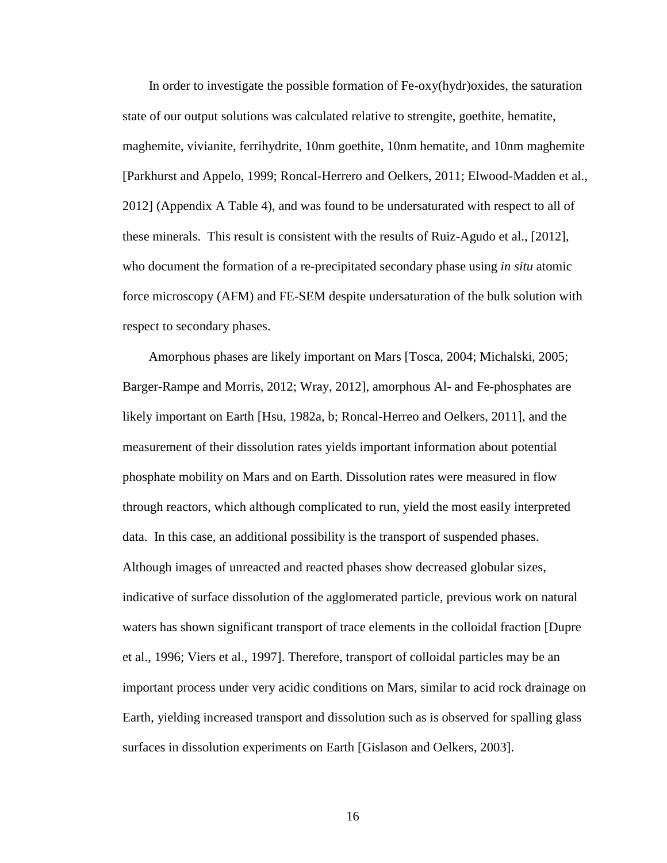In order to investigate the possible formation of Fe-oxy(hydr)oxides, the saturation state of our output solutions was calculated relative to strengite, goethite, hematite, maghemite, vivianite, ferrihydrite, 10nm goethite, 10nm hematite, and 10nm maghemite [Parkhurst and Appelo, 1999; Roncal-Herrero and Oelkers, 2011; Elwood-Madden et al., 2012] (Appendix A Table 4), and was found to be undersaturated with respect to all of these minerals. This result is consistent with the results of Ruiz-Agudo et al., [2012], who document the formation of a re-precipitated secondary phase using *in situ* atomic force microscopy (AFM) and FE-SEM despite undersaturation of the bulk solution with respect to secondary phases.

 Amorphous phases are likely important on Mars [Tosca, 2004; Michalski, 2005; Barger-Rampe and Morris, 2012; Wray, 2012], amorphous Al- and Fe-phosphates are likely important on Earth [Hsu, 1982a, b; Roncal-Herreo and Oelkers, 2011], and the measurement of their dissolution rates yields important information about potential phosphate mobility on Mars and on Earth. Dissolution rates were measured in flow through reactors, which although complicated to run, yield the most easily interpreted data. In this case, an additional possibility is the transport of suspended phases. Although images of unreacted and reacted phases show decreased globular sizes, indicative of surface dissolution of the agglomerated particle, previous work on natural waters has shown significant transport of trace elements in the colloidal fraction [Dupre et al., 1996; Viers et al., 1997]. Therefore, transport of colloidal particles may be an important process under very acidic conditions on Mars, similar to acid rock drainage on Earth, yielding increased transport and dissolution such as is observed for spalling glass surfaces in dissolution experiments on Earth [Gislason and Oelkers, 2003].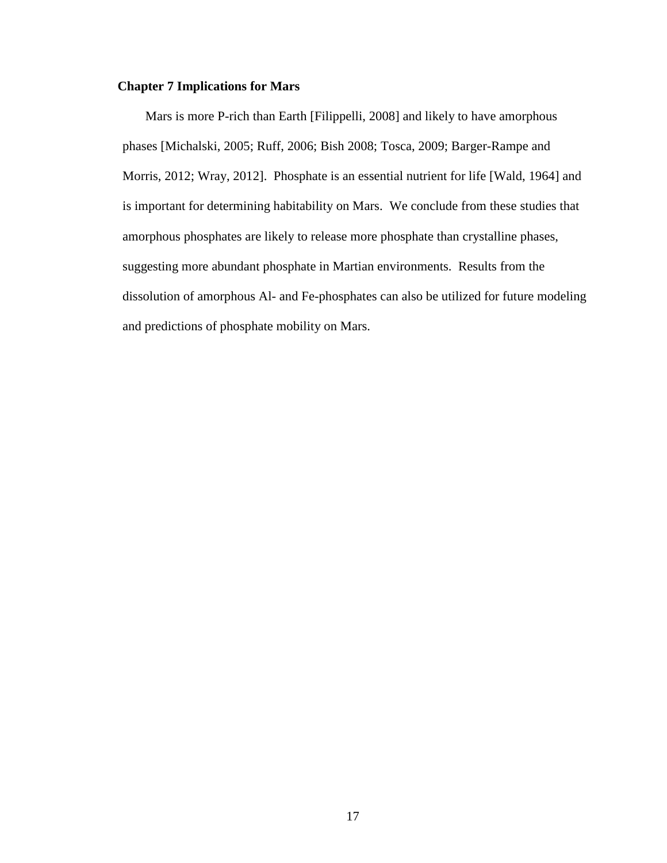## **Chapter 7 Implications for Mars**

 Mars is more P-rich than Earth [Filippelli, 2008] and likely to have amorphous phases [Michalski, 2005; Ruff, 2006; Bish 2008; Tosca, 2009; Barger-Rampe and Morris, 2012; Wray, 2012]. Phosphate is an essential nutrient for life [Wald, 1964] and is important for determining habitability on Mars. We conclude from these studies that amorphous phosphates are likely to release more phosphate than crystalline phases, suggesting more abundant phosphate in Martian environments. Results from the dissolution of amorphous Al- and Fe-phosphates can also be utilized for future modeling and predictions of phosphate mobility on Mars.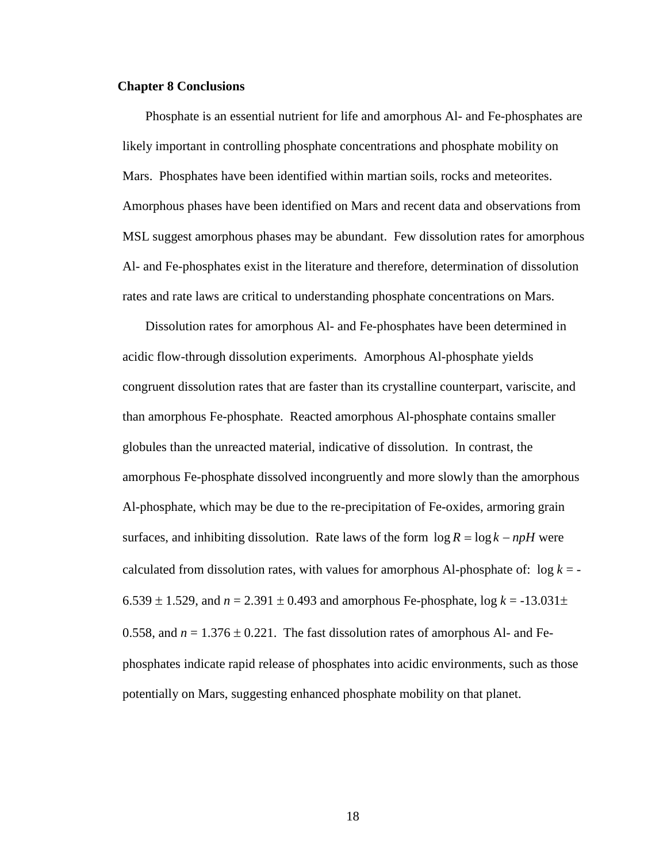#### **Chapter 8 Conclusions**

 Phosphate is an essential nutrient for life and amorphous Al- and Fe-phosphates are likely important in controlling phosphate concentrations and phosphate mobility on Mars. Phosphates have been identified within martian soils, rocks and meteorites. Amorphous phases have been identified on Mars and recent data and observations from MSL suggest amorphous phases may be abundant. Few dissolution rates for amorphous Al- and Fe-phosphates exist in the literature and therefore, determination of dissolution rates and rate laws are critical to understanding phosphate concentrations on Mars.

 Dissolution rates for amorphous Al- and Fe-phosphates have been determined in acidic flow-through dissolution experiments. Amorphous Al-phosphate yields congruent dissolution rates that are faster than its crystalline counterpart, variscite, and than amorphous Fe-phosphate. Reacted amorphous Al-phosphate contains smaller globules than the unreacted material, indicative of dissolution. In contrast, the amorphous Fe-phosphate dissolved incongruently and more slowly than the amorphous Al-phosphate, which may be due to the re-precipitation of Fe-oxides, armoring grain surfaces, and inhibiting dissolution. Rate laws of the form  $\log R = \log k - npH$  were calculated from dissolution rates, with values for amorphous Al-phosphate of:  $\log k = -$ 6.539  $\pm$  1.529, and *n* = 2.391  $\pm$  0.493 and amorphous Fe-phosphate, log *k* = -13.031 $\pm$ 0.558, and  $n = 1.376 \pm 0.221$ . The fast dissolution rates of amorphous Al- and Fephosphates indicate rapid release of phosphates into acidic environments, such as those potentially on Mars, suggesting enhanced phosphate mobility on that planet.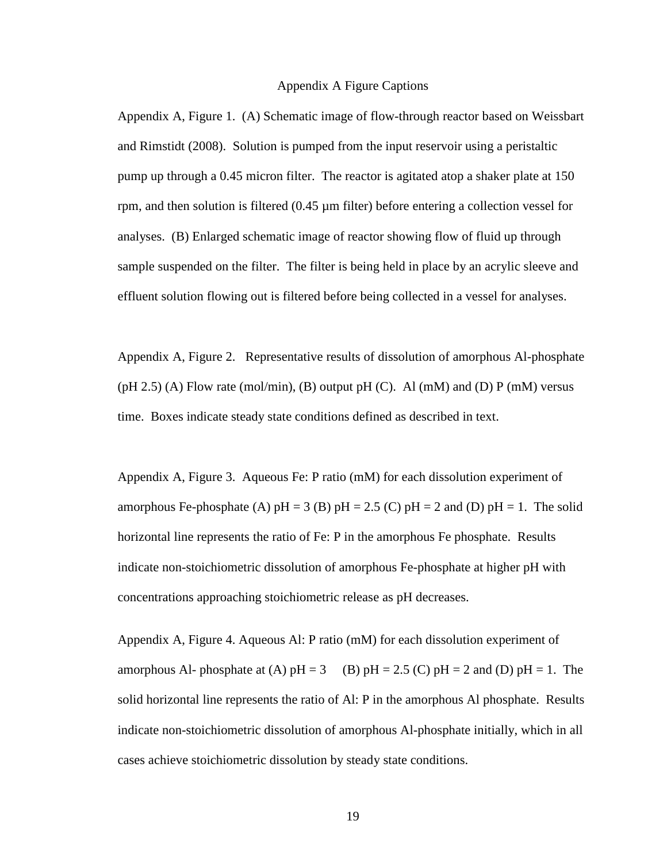#### Appendix A Figure Captions

Appendix A, Figure 1. (A) Schematic image of flow-through reactor based on Weissbart and Rimstidt (2008). Solution is pumped from the input reservoir using a peristaltic pump up through a 0.45 micron filter. The reactor is agitated atop a shaker plate at 150 rpm, and then solution is filtered  $(0.45 \mu m)$  filter) before entering a collection vessel for analyses. (B) Enlarged schematic image of reactor showing flow of fluid up through sample suspended on the filter. The filter is being held in place by an acrylic sleeve and effluent solution flowing out is filtered before being collected in a vessel for analyses.

Appendix A, Figure 2. Representative results of dissolution of amorphous Al-phosphate  $(pH 2.5)$  (A) Flow rate (mol/min), (B) output pH (C). Al (mM) and (D) P (mM) versus time. Boxes indicate steady state conditions defined as described in text.

Appendix A, Figure 3. Aqueous Fe: P ratio (mM) for each dissolution experiment of amorphous Fe-phosphate (A)  $pH = 3$  (B)  $pH = 2.5$  (C)  $pH = 2$  and (D)  $pH = 1$ . The solid horizontal line represents the ratio of Fe: P in the amorphous Fe phosphate. Results indicate non-stoichiometric dissolution of amorphous Fe-phosphate at higher pH with concentrations approaching stoichiometric release as pH decreases.

Appendix A, Figure 4. Aqueous Al: P ratio (mM) for each dissolution experiment of amorphous Al- phosphate at (A)  $pH = 3$  (B)  $pH = 2.5$  (C)  $pH = 2$  and (D)  $pH = 1$ . The solid horizontal line represents the ratio of Al: P in the amorphous Al phosphate. Results indicate non-stoichiometric dissolution of amorphous Al-phosphate initially, which in all cases achieve stoichiometric dissolution by steady state conditions.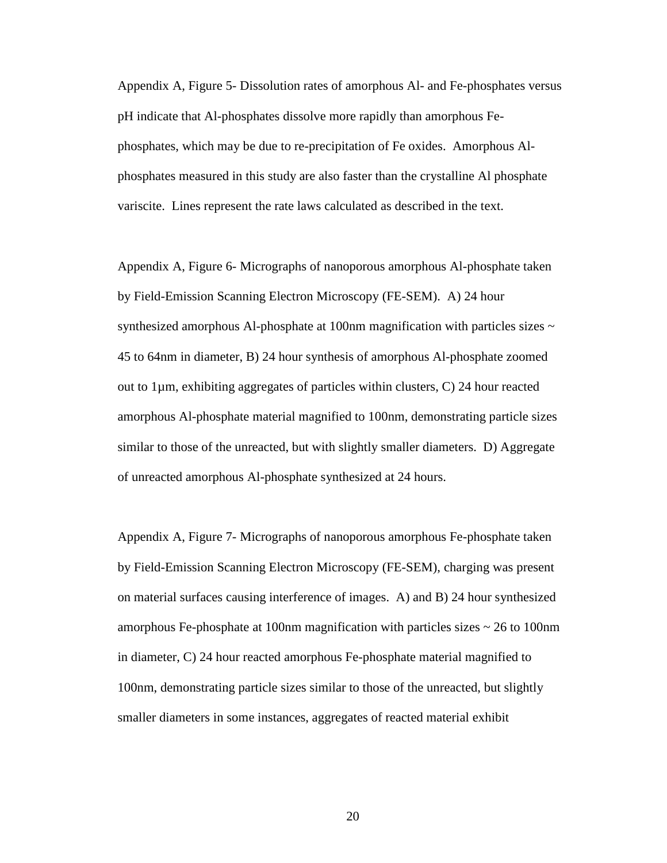Appendix A, Figure 5- Dissolution rates of amorphous Al- and Fe-phosphates versus pH indicate that Al-phosphates dissolve more rapidly than amorphous Fephosphates, which may be due to re-precipitation of Fe oxides. Amorphous Alphosphates measured in this study are also faster than the crystalline Al phosphate variscite. Lines represent the rate laws calculated as described in the text.

Appendix A, Figure 6- Micrographs of nanoporous amorphous Al-phosphate taken by Field-Emission Scanning Electron Microscopy (FE-SEM). A) 24 hour synthesized amorphous Al-phosphate at 100nm magnification with particles sizes  $\sim$ 45 to 64nm in diameter, B) 24 hour synthesis of amorphous Al-phosphate zoomed out to 1µm, exhibiting aggregates of particles within clusters, C) 24 hour reacted amorphous Al-phosphate material magnified to 100nm, demonstrating particle sizes similar to those of the unreacted, but with slightly smaller diameters. D) Aggregate of unreacted amorphous Al-phosphate synthesized at 24 hours.

Appendix A, Figure 7- Micrographs of nanoporous amorphous Fe-phosphate taken by Field-Emission Scanning Electron Microscopy (FE-SEM), charging was present on material surfaces causing interference of images. A) and B) 24 hour synthesized amorphous Fe-phosphate at 100nm magnification with particles sizes ~ 26 to 100nm in diameter, C) 24 hour reacted amorphous Fe-phosphate material magnified to 100nm, demonstrating particle sizes similar to those of the unreacted, but slightly smaller diameters in some instances, aggregates of reacted material exhibit